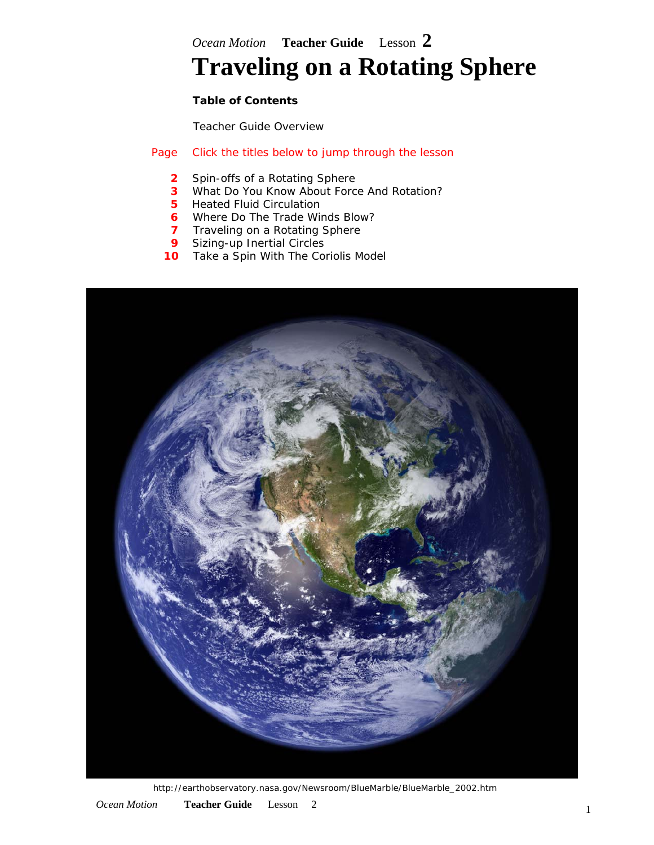*Ocean Motion* **Teacher Guide** Lesson **2**

# **Traveling on a Rotating Sphere**

#### **Table of Contents**

**[Teacher Guide Overview](http://oceanmotion.org/html/teachers/overview.htm)** 

#### Page Click the titles below to jump through the lesson

- **2** [Spin-offs of a Rotating Sphere](#page-1-0)
- **3** [What Do You Know About Force And Rotation?](#page-2-0)
- **5** [Heated Fluid Circulation](#page-4-0)
- **6** [Where Do The Trade Winds Blow?](#page-5-0)
- **7** [Traveling on a Rotating Sphere](#page-6-0)
- **9** [Sizing-up Inertial Circles](#page-8-0)
- **10** [Take a Spin With The Coriolis Model](#page-9-0)



http://earthobservatory.nasa.gov/Newsroom/BlueMarble/BlueMarble\_2002.htm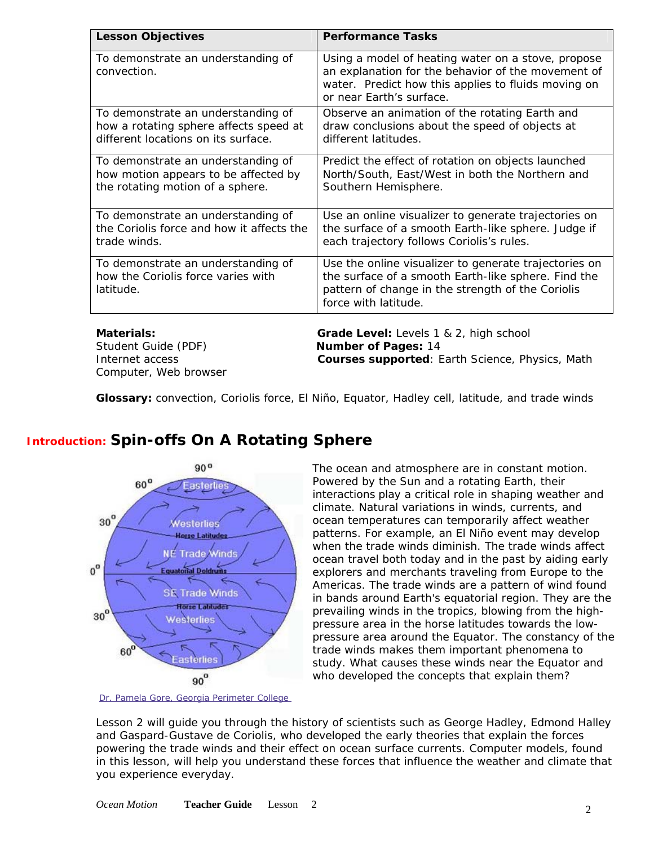<span id="page-1-0"></span>

| <b>Lesson Objectives</b>                                                                                            | <b>Performance Tasks</b>                                                                                                                                                                    |
|---------------------------------------------------------------------------------------------------------------------|---------------------------------------------------------------------------------------------------------------------------------------------------------------------------------------------|
| To demonstrate an understanding of<br>convection.                                                                   | Using a model of heating water on a stove, propose<br>an explanation for the behavior of the movement of<br>water. Predict how this applies to fluids moving on<br>or near Earth's surface. |
| To demonstrate an understanding of<br>how a rotating sphere affects speed at<br>different locations on its surface. | Observe an animation of the rotating Earth and<br>draw conclusions about the speed of objects at<br>different latitudes.                                                                    |
| To demonstrate an understanding of<br>how motion appears to be affected by<br>the rotating motion of a sphere.      | Predict the effect of rotation on objects launched<br>North/South, East/West in both the Northern and<br>Southern Hemisphere.                                                               |
| To demonstrate an understanding of<br>the Coriolis force and how it affects the<br>trade winds.                     | Use an online visualizer to generate trajectories on<br>the surface of a smooth Earth-like sphere. Judge if<br>each trajectory follows Coriolis's rules.                                    |
| To demonstrate an understanding of<br>how the Coriolis force varies with<br>latitude.                               | Use the online visualizer to generate trajectories on<br>the surface of a smooth Earth-like sphere. Find the<br>pattern of change in the strength of the Coriolis<br>force with latitude.   |
| <b>Materials:</b>                                                                                                   | Grade Level: Levels 1 & 2, high school                                                                                                                                                      |
| Student Guide (PDF)                                                                                                 | <b>Number of Pages: 14</b>                                                                                                                                                                  |
| Internet access                                                                                                     | Courses supported: Earth Science, Physics, Math                                                                                                                                             |

**Glossary:** convection, Coriolis force, El Niño, Equator, Hadley cell, latitude, and trade winds

## **Introduction: Spin-offs On A Rotating Sphere**

Computer, Web browser



*[Dr. Pamela Gore, Georgia Perimeter College](http://gpc.edu/%7Epgore/Earth&Space/GPS/wind.html)* 

The ocean and atmosphere are in constant motion. Powered by the Sun and a rotating Earth, their interactions play a critical role in shaping weather and climate. Natural variations in winds, currents, and ocean temperatures can temporarily affect weather patterns. For example, an [El Niño](http://www.oceanmotion.org/html/impact/el-nino.htm) event may develop when the trade winds diminish. The trade winds affect ocean travel both today and in the past by aiding early explorers and merchants traveling from Europe to the Americas. The [trade winds](http://www.oceanmotion.org/html/background/equatorial-currents.htm) are a pattern of wind found in bands around Earth's equatorial region. They are the prevailing winds in the tropics, blowing from the highpressure area in the horse latitudes towards the lowpressure area around the Equator. The constancy of t he trade winds makes them important phenomena to study. What causes these winds near the Equator and who developed the concepts that explain them?

Lesson 2 will guide you through the history of scientists such as George Hadley, Edmond Halley and Gaspard-Gustave de Coriolis, who developed the early theories that explain the forces powering the trade winds and their effect on ocean surface currents. Computer models, found in this lesson, will help you understand these forces that influence the [weather](http://www.oceanmotion.org/html/students/glossary.html#w) and [climate](http://www.oceanmotion.org/html/students/glossary.html#c) that you experience everyday.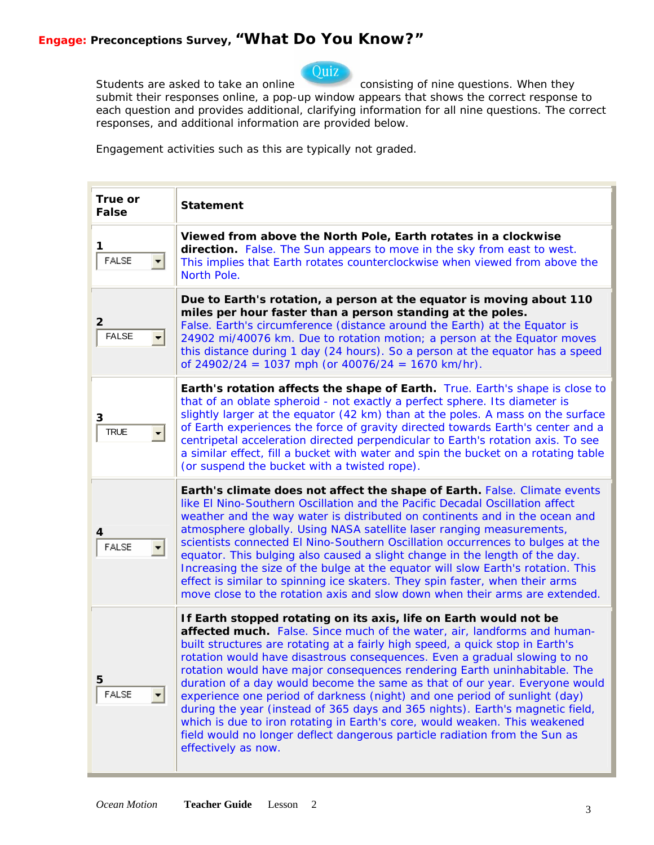## Ouiz

<span id="page-2-0"></span>Students are asked to take an online consisting of nine questions. When they submit their responses online, a pop-up window appears that shows the correct response to each question and provides additional, clarifying information for all nine questions. The correct responses, and additional information are provided below.

Engagement activities such as this are typically *not graded*.

| True or<br><b>False</b> | <b>Statement</b>                                                                                                                                                                                                                                                                                                                                                                                                                                                                                                                                                                                                                                                                                                                                                                                                          |
|-------------------------|---------------------------------------------------------------------------------------------------------------------------------------------------------------------------------------------------------------------------------------------------------------------------------------------------------------------------------------------------------------------------------------------------------------------------------------------------------------------------------------------------------------------------------------------------------------------------------------------------------------------------------------------------------------------------------------------------------------------------------------------------------------------------------------------------------------------------|
| 1<br><b>FALSE</b>       | Viewed from above the North Pole, Earth rotates in a clockwise<br>direction. False. The Sun appears to move in the sky from east to west.<br>This implies that Earth rotates counterclockwise when viewed from above the<br><b>North Pole.</b>                                                                                                                                                                                                                                                                                                                                                                                                                                                                                                                                                                            |
| 2<br><b>FALSE</b>       | Due to Earth's rotation, a person at the equator is moving about 110<br>miles per hour faster than a person standing at the poles.<br>False. Earth's circumference (distance around the Earth) at the Equator is<br>24902 mi/40076 km. Due to rotation motion; a person at the Equator moves<br>this distance during 1 day (24 hours). So a person at the equator has a speed<br>of $24902/24 = 1037$ mph (or $40076/24 = 1670$ km/hr).                                                                                                                                                                                                                                                                                                                                                                                   |
| 3<br><b>TRUE</b>        | Earth's rotation affects the shape of Earth. True. Earth's shape is close to<br>that of an oblate spheroid - not exactly a perfect sphere. Its diameter is<br>slightly larger at the equator (42 km) than at the poles. A mass on the surface<br>of Earth experiences the force of gravity directed towards Earth's center and a<br>centripetal acceleration directed perpendicular to Earth's rotation axis. To see<br>a similar effect, fill a bucket with water and spin the bucket on a rotating table<br>(or suspend the bucket with a twisted rope).                                                                                                                                                                                                                                                                |
| <b>FALSE</b>            | Earth's climate does not affect the shape of Earth. False. Climate events<br>like El Nino-Southern Oscillation and the Pacific Decadal Oscillation affect<br>weather and the way water is distributed on continents and in the ocean and<br>atmosphere globally. Using NASA satellite laser ranging measurements,<br>scientists connected El Nino-Southern Oscillation occurrences to bulges at the<br>equator. This bulging also caused a slight change in the length of the day.<br>Increasing the size of the bulge at the equator will slow Earth's rotation. This<br>effect is similar to spinning ice skaters. They spin faster, when their arms<br>move close to the rotation axis and slow down when their arms are extended.                                                                                     |
| 5<br><b>FALSE</b>       | If Earth stopped rotating on its axis, life on Earth would not be<br>affected much. False. Since much of the water, air, landforms and human-<br>built structures are rotating at a fairly high speed, a quick stop in Earth's<br>rotation would have disastrous consequences. Even a gradual slowing to no<br>rotation would have major consequences rendering Earth uninhabitable. The<br>duration of a day would become the same as that of our year. Everyone would<br>experience one period of darkness (night) and one period of sunlight (day)<br>during the year (instead of 365 days and 365 nights). Earth's magnetic field,<br>which is due to iron rotating in Earth's core, would weaken. This weakened<br>field would no longer deflect dangerous particle radiation from the Sun as<br>effectively as now. |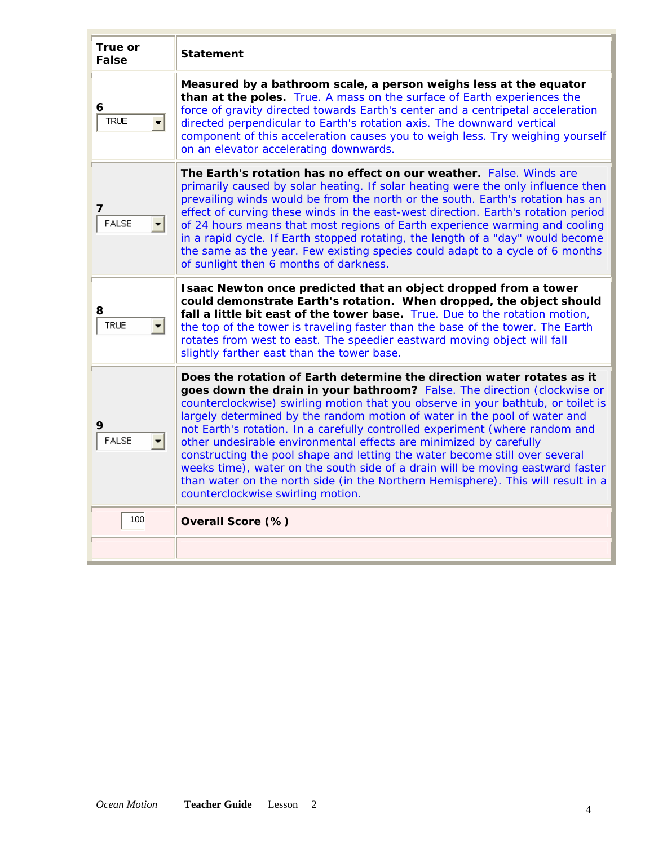| True or<br><b>False</b> | <b>Statement</b>                                                                                                                                                                                                                                                                                                                                                                                                                                                                                                                                                                                                                                                                                                                                                    |
|-------------------------|---------------------------------------------------------------------------------------------------------------------------------------------------------------------------------------------------------------------------------------------------------------------------------------------------------------------------------------------------------------------------------------------------------------------------------------------------------------------------------------------------------------------------------------------------------------------------------------------------------------------------------------------------------------------------------------------------------------------------------------------------------------------|
| 6<br><b>TRUE</b>        | Measured by a bathroom scale, a person weighs less at the equator<br>than at the poles. True. A mass on the surface of Earth experiences the<br>force of gravity directed towards Earth's center and a centripetal acceleration<br>directed perpendicular to Earth's rotation axis. The downward vertical<br>component of this acceleration causes you to weigh less. Try weighing yourself<br>on an elevator accelerating downwards.                                                                                                                                                                                                                                                                                                                               |
| 7<br><b>FALSE</b>       | The Earth's rotation has no effect on our weather. False. Winds are<br>primarily caused by solar heating. If solar heating were the only influence then<br>prevailing winds would be from the north or the south. Earth's rotation has an<br>effect of curving these winds in the east-west direction. Earth's rotation period<br>of 24 hours means that most regions of Earth experience warming and cooling<br>in a rapid cycle. If Earth stopped rotating, the length of a "day" would become<br>the same as the year. Few existing species could adapt to a cycle of 6 months<br>of sunlight then 6 months of darkness.                                                                                                                                         |
| 8<br><b>TRUE</b>        | Isaac Newton once predicted that an object dropped from a tower<br>could demonstrate Earth's rotation. When dropped, the object should<br>fall a little bit east of the tower base. True. Due to the rotation motion,<br>the top of the tower is traveling faster than the base of the tower. The Earth<br>rotates from west to east. The speedier eastward moving object will fall<br>slightly farther east than the tower base.                                                                                                                                                                                                                                                                                                                                   |
| <b>FALSE</b>            | Does the rotation of Earth determine the direction water rotates as it<br>goes down the drain in your bathroom? False. The direction (clockwise or<br>counterclockwise) swirling motion that you observe in your bathtub, or toilet is<br>largely determined by the random motion of water in the pool of water and<br>not Earth's rotation. In a carefully controlled experiment (where random and<br>other undesirable environmental effects are minimized by carefully<br>constructing the pool shape and letting the water become still over several<br>weeks time), water on the south side of a drain will be moving eastward faster<br>than water on the north side (in the Northern Hemisphere). This will result in a<br>counterclockwise swirling motion. |
| 100                     | Overall Score (%)                                                                                                                                                                                                                                                                                                                                                                                                                                                                                                                                                                                                                                                                                                                                                   |
|                         |                                                                                                                                                                                                                                                                                                                                                                                                                                                                                                                                                                                                                                                                                                                                                                     |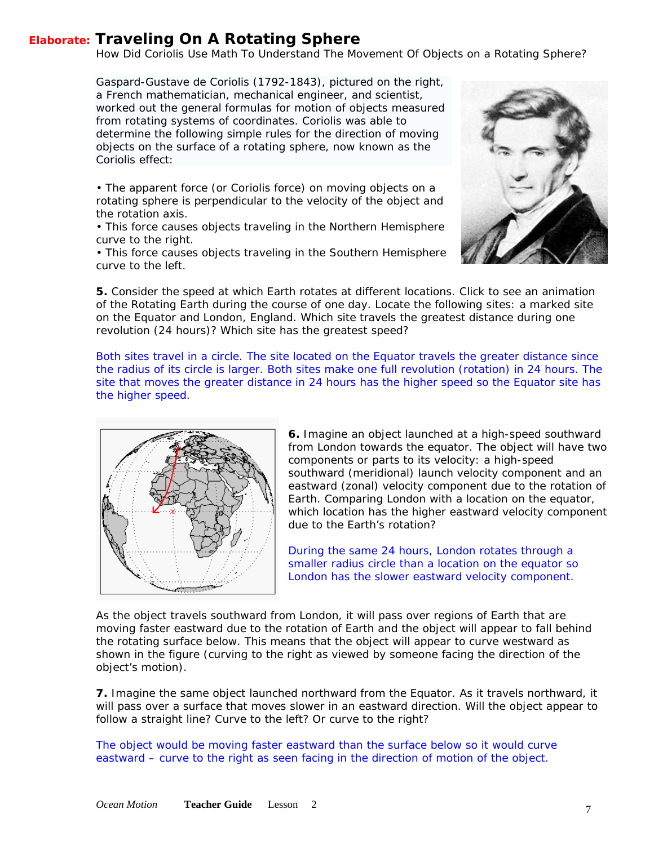### <span id="page-6-0"></span>**Elaborate: Traveling On A Rotating Sphere**

*How Did Coriolis Use Math To Understand The Movement Of Objects on a Rotating Sphere?* 

Gaspard-Gustave de Coriolis (1792-1843), pictured on the right, a French mathematician, mechanical engineer, and scientist, worked out the general formulas for motion of objects measured from rotating systems of coordinates. Coriolis was able to determine the following simple rules for the direction of moving objects on the surface of a rotating sphere, now known as the Coriolis effect:

• The apparent force (or Coriolis force) on moving objects on a rotating sphere is perpendicular to the velocity of the object and the rotation axis.

• This force causes objects traveling in the Northern Hemisphere curve to the right.

• This force causes objects traveling in the Southern Hemisphere curve to the left.



**5.** Consider the speed at which Earth rotates at different locations. Click to see an animation of the [Rotating Earth d](http://physics.gallaudet.edu/globe/globe.wmv)uring the course of one day. Locate the following sites: a marked site on the Equator and London, England. Which site travels the greatest distance during one revolution (24 hours)? Which site has the greatest speed?

*Both sites travel in a circle. The site located on the Equator travels the greater distance since the radius of its circle is larger. Both sites make one full revolution (rotation) in 24 hours. The site that moves the greater distance in 24 hours has the higher speed so the Equator site has the higher speed.* 



**6.** Imagine an object launched at a high-speed southward from London towards the equator. The object will have t wo components or parts to its velocity: a high-speed southward (meridional) launch velocity component and an eastward (zonal) velocity component due to the rotation of Earth. Comparing London with a location on the equator, which location has the higher eastward velocity c omponent due to the Earth's rotation?

*During the same 24 hours, London rotates through a smaller radius circle than a location on the equator so London has the slower eastward velocity component.* 

As the object travels southward from London, it will pass over regions of Earth that are moving faster eastward due to the rotation of Earth and the object will appear to fall behind the rotating surface below. This means that the object will appear to curve westward as shown in the figure (curving to the right as viewed by someone facing the direction of the object's motion).

**7.** Imagine the same object launched northward from the [Equator](http://www.oceanmotion.org/html/background/equatorial-currents.htm). As it travels northward, it will pass over a surface that moves slower in an eastward direction. Will the object appear to follow a straight line? Curve to the left? Or curve to the right?

*The object would be moving faster eastward than the surface below so it would curve eastward – curve to the right as seen facing in the direction of motion of the object.*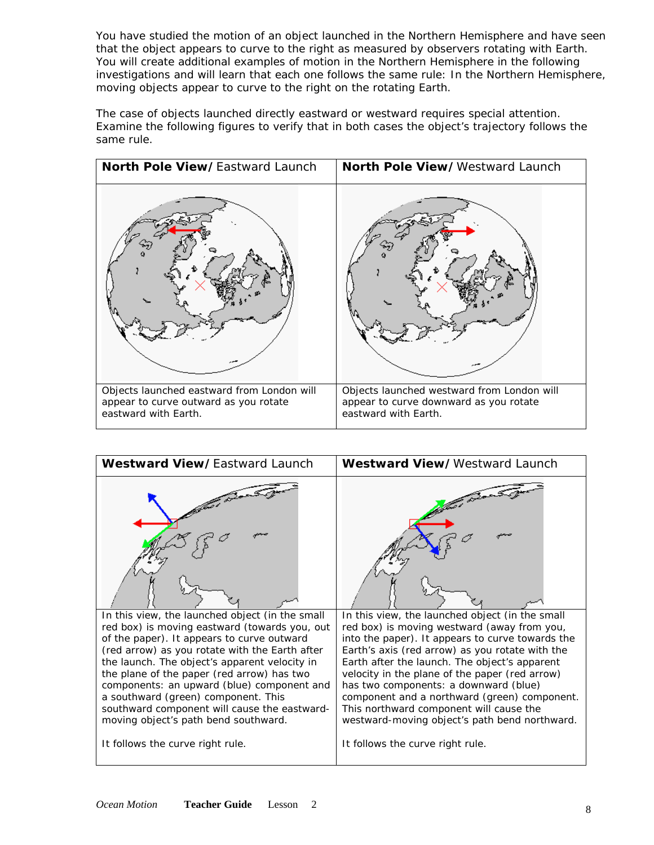You have studied the motion of an object launched in the Northern Hemisphere and have seen that the object appears to curve to the right as measured by observers rotating with Earth. You will create additional examples of motion in the Northern Hemisphere in the following investigations and will learn that each one follows the same rule: *In the Northern Hemisphere, moving objects appear to curve to the right on the rotating Earth*.

The case of objects launched directly eastward or westward requires special attention. Examine the following figures to verify that in both cases the object's trajectory follows the same rule.



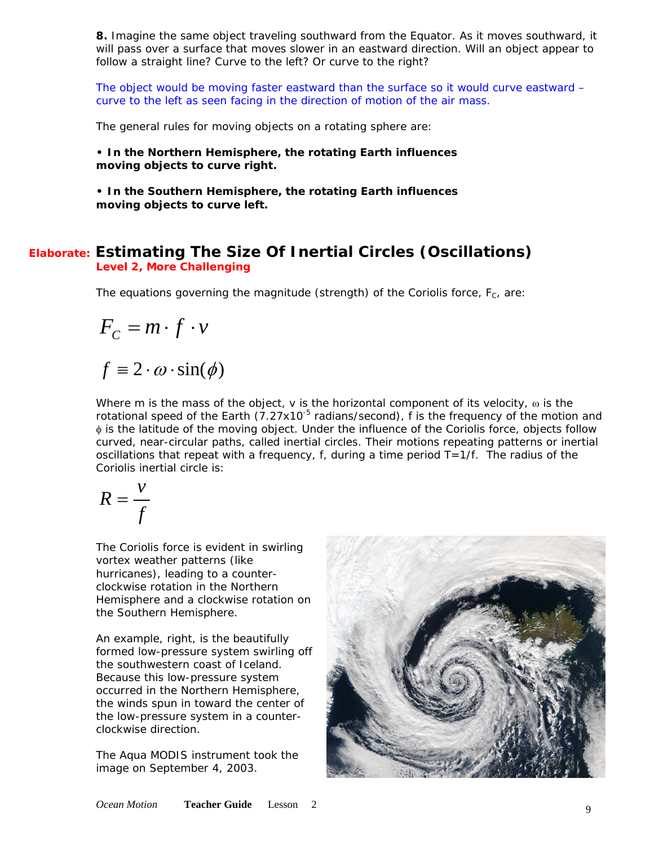<span id="page-8-0"></span>**8.** Imagine the same object traveling southward from the Equator. As it moves southward, it will pass over a surface that moves slower in an eastward direction. Will an object appear to follow a straight line? Curve to the left? Or curve to the right?

*The object would be moving faster eastward than the surface so it would curve eastward – curve to the left as seen facing in the direction of motion of the air mass.* 

The general rules for moving objects on a rotating sphere are:

**• In the Northern Hemisphere, the rotating Earth influences moving objects to curve right.** 

**• In the Southern Hemisphere, the rotating Earth influences moving objects to curve left.** 

#### **Elaborate: Estimating The Size Of Inertial Circles (Oscillations) Level 2, More Challenging**

The equations governing the magnitude (strength) of the Coriolis force,  $F_c$ , are:

$$
F_c = m \cdot f \cdot v
$$

 $f \equiv 2 \cdot \omega \cdot \sin(\phi)$ 

Where m is the mass of the object, v is the horizontal component of its velocity,  $\omega$  is the rotational speed of the Earth (7.27x10<sup>-5</sup> radians/second), f is the frequency of the motion and φ is the latitude of the moving object. Under the influence of the Coriolis force, objects follow curved, near-circular paths, called inertial circles. Their motions repeating patterns or inertial oscillations that repeat with a frequency, f, during a time period  $T=1/f$ . The radius of the Coriolis inertial circle is:

$$
R = \frac{v}{f}
$$

The Coriolis force is evident in swirling vortex weather patterns (like hurricanes), leading to a counterclockwise rotation in the Northern Hemisphere and a clockwise rotation on the Southern Hemisphere.

*An example, right, is the beautifully formed low-pressure system swirling off the southwestern coast of Iceland. Because this low-pressure system occurred in the Northern Hemisphere, the winds spun in toward the center of the low-pressure system in a counterclockwise direction.* 

*The [Aqua](http://www.oceanmotion.org/html/gatheringdata/satellites-aqua.htm) MODIS instrument took the image on September 4, 2003.* 

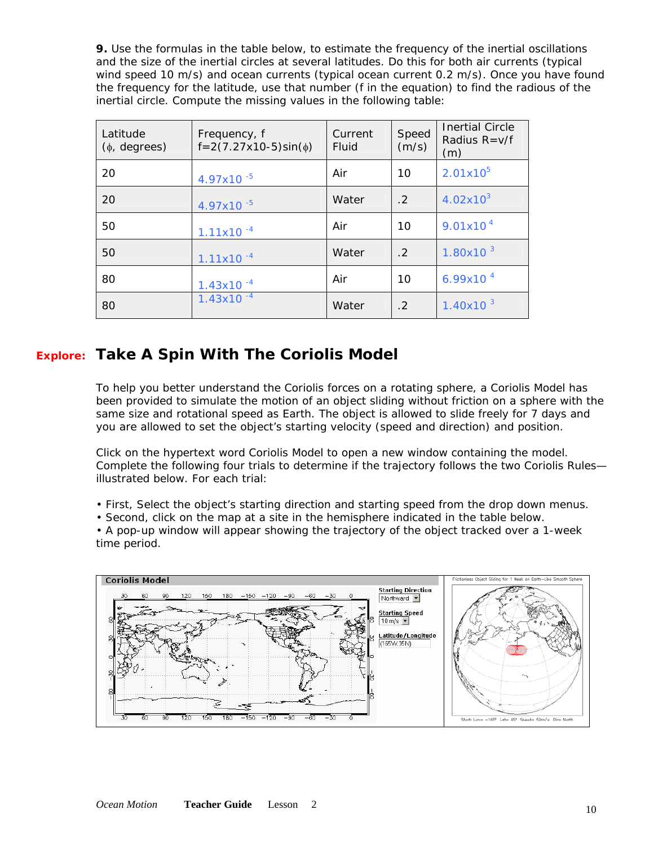<span id="page-9-0"></span>**9.** Use the formulas in the table below, to estimate the frequency of the inertial oscillations and the size of the inertial circles at several latitudes. Do this for both air currents (typical wind speed 10 m/s) and ocean currents (typical ocean current 0.2 m/s). Once you have found the frequency for the latitude, use that number (f in the equation) to find the radious of the inertial circle. Compute the missing values in the following table:

| Latitude<br>$(\phi, \text{ degrees})$ | Frequency, f<br>$f = 2(7.27x10-5)\sin(\phi)$ | Current<br>Fluid | Speed<br>(m/s) | <b>Inertial Circle</b><br>Radius $R = v/f$<br>(m) |
|---------------------------------------|----------------------------------------------|------------------|----------------|---------------------------------------------------|
| 20                                    | $4.97x10^{-5}$                               | Air              | 10             | $2.01x10^{5}$                                     |
| 20                                    | 4.97x10 <sup>-5</sup>                        | Water            | $\mathcal{L}$  | $4.02x10^{3}$                                     |
| 50                                    | $1.11x10^{-4}$                               | Air              | 10             | 9.01x10 <sup>4</sup>                              |
| 50                                    | $1.11x10^{-4}$                               | Water            | $\cdot$ 2      | $1.80x10^{3}$                                     |
| 80                                    | $1.43x10^{-4}$                               | Air              | 10             | $6.99x10^{4}$                                     |
| 80                                    | $1.43x10^{-4}$                               | Water            | $\cdot$ 2      | 1.40 $x$ 10 $3$                                   |

## **Explore: Take A Spin With The Coriolis Model**

To help you better understand the Coriolis forces on a rotating sphere, a Coriolis Model has been provided to simulate the motion of an object sliding without friction on a sphere with the same size and rotational speed as Earth. The object is allowed to slide freely for 7 days and you are allowed to set the object's starting velocity (speed and direction) and position.

Click on the hypertext word [Coriolis Model](http://www.oceanmotion.org/html/resources/coriolis.htm) to open a new window containing the model. Complete the following four trials to determine if the trajectory follows the two Coriolis Rules illustrated below. For each trial:

• First, Select the object's starting direction and starting speed from the drop down menus.

• Second, click on the map at a site in the hemisphere indicated in the table below.

• A pop-up window will appear showing the trajectory of the object tracked over a 1-week time period.

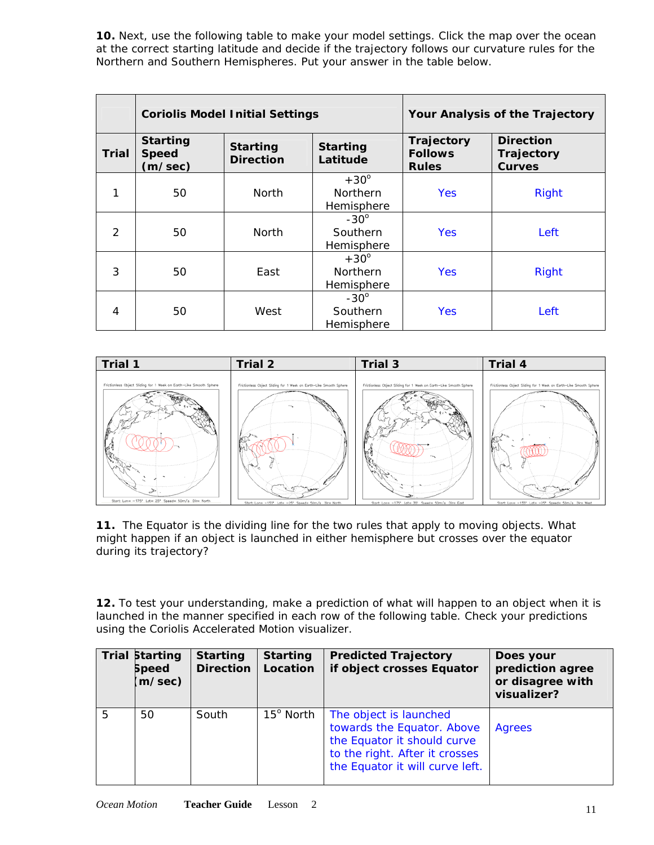**10.** Next, use the following table to make your model settings. Click the map over the ocean at the correct starting latitude and decide if the trajectory follows our curvature rules for the Northern and Southern Hemispheres. Put your answer in the table below.

|              | <b>Coriolis Model Initial Settings</b>     |                                     |                             |                                              | Your Analysis of the Trajectory                 |
|--------------|--------------------------------------------|-------------------------------------|-----------------------------|----------------------------------------------|-------------------------------------------------|
| <b>Trial</b> | <b>Starting</b><br><b>Speed</b><br>(m/sec) | <b>Starting</b><br><b>Direction</b> | <b>Starting</b><br>Latitude | Trajectory<br><b>Follows</b><br><b>Rules</b> | <b>Direction</b><br>Trajectory<br><b>Curves</b> |
|              |                                            |                                     | $+30^\circ$                 |                                              |                                                 |
| 1            | 50                                         | <b>North</b>                        | <b>Northern</b>             | Yes                                          | <b>Right</b>                                    |
|              |                                            |                                     | Hemisphere                  |                                              |                                                 |
|              |                                            |                                     | $-30^\circ$                 |                                              |                                                 |
| 2            | 50                                         | <b>North</b>                        | Southern                    | Yes                                          | Left                                            |
|              |                                            |                                     | Hemisphere                  |                                              |                                                 |
|              |                                            |                                     | $+30^\circ$                 |                                              |                                                 |
| 3            | 50                                         | East                                | <b>Northern</b>             | Yes                                          | <b>Right</b>                                    |
|              |                                            |                                     | Hemisphere                  |                                              |                                                 |
|              |                                            |                                     | $-30^\circ$                 |                                              |                                                 |
| 4            | 50                                         | West                                | Southern                    | Yes                                          | Left                                            |
|              |                                            |                                     | Hemisphere                  |                                              |                                                 |



**11.** The Equator is the dividing line for the two rules that apply to moving objects. What might happen if an object is launched in either hemisphere but crosses over the equator during its trajectory?

**12.** To test your understanding, make a prediction of what will happen to an object when it is launched in the manner specified in each row of the following table. Check your predictions using the Coriolis Accelerated Motion [visualizer.](http://www.oceanmotion.org/html/resources/coriolis.htm)

|   | <b>Trial Starting</b><br><b>Speed</b><br>(m/sec) | <b>Starting</b><br><b>Direction</b> | <b>Starting</b><br>Location | <b>Predicted Trajectory</b><br>if object crosses Equator                                                                                                 | Does your<br>prediction agree<br>or disagree with<br>visualizer? |
|---|--------------------------------------------------|-------------------------------------|-----------------------------|----------------------------------------------------------------------------------------------------------------------------------------------------------|------------------------------------------------------------------|
| 5 | 50                                               | South                               | $15^{\circ}$ North          | The object is launched<br>towards the Equator. Above<br>the Equator it should curve<br>to the right. After it crosses<br>the Equator it will curve left. | Agrees                                                           |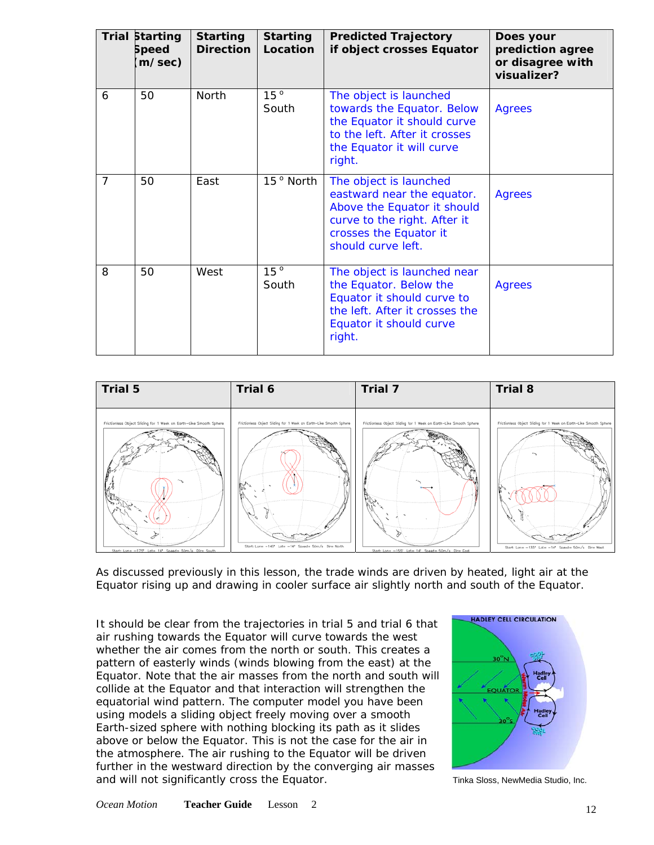|                | <b>Trial Starting</b><br><b>Speed</b><br>(m/sec) | <b>Starting</b><br><b>Direction</b> | <b>Starting</b><br>Location | <b>Predicted Trajectory</b><br>if object crosses Equator                                                                                                            | Does your<br>prediction agree<br>or disagree with<br>visualizer? |
|----------------|--------------------------------------------------|-------------------------------------|-----------------------------|---------------------------------------------------------------------------------------------------------------------------------------------------------------------|------------------------------------------------------------------|
| 6              | 50                                               | <b>North</b>                        | 15 <sup>o</sup><br>South    | The object is launched<br>towards the Equator. Below<br>the Equator it should curve<br>to the left. After it crosses<br>the Equator it will curve<br>right.         | Agrees                                                           |
| $\overline{7}$ | 50                                               | East                                | 15 <sup>°</sup> North       | The object is launched<br>eastward near the equator.<br>Above the Equator it should<br>curve to the right. After it<br>crosses the Equator it<br>should curve left. | <b>Agrees</b>                                                    |
| 8              | 50                                               | West                                | 15 <sup>o</sup><br>South    | The object is launched near<br>the Equator. Below the<br>Equator it should curve to<br>the left. After it crosses the<br>Equator it should curve<br>right.          | <b>Agrees</b>                                                    |



As discussed previously in this lesson, the trade winds are driven by heated, light air at the Equator rising up and drawing in cooler surface air slightly north and south of the Equator.

It should be clear from the trajectories in trial 5 and trial 6 that air rushing towards the Equator will curve towards the west whether the air comes from the north or south. This creates a pattern of easterly winds (winds blowing from the east) at the Equator. Note that the air masses from the north and south will collide at the Equator and that interaction will strengthen the equatorial wind pattern. The computer model you have been using models a sliding object freely moving over a smooth Earth-sized sphere with nothing blocking its path as it slides above or below the Equator. This is not the case for the air in the atmosphere. The air rushing to the Equator will be driven further in the westward direction by the converging air masses and will not significantly cross the Equator. The state of the Sloss, NewMedia Studio, Inc.

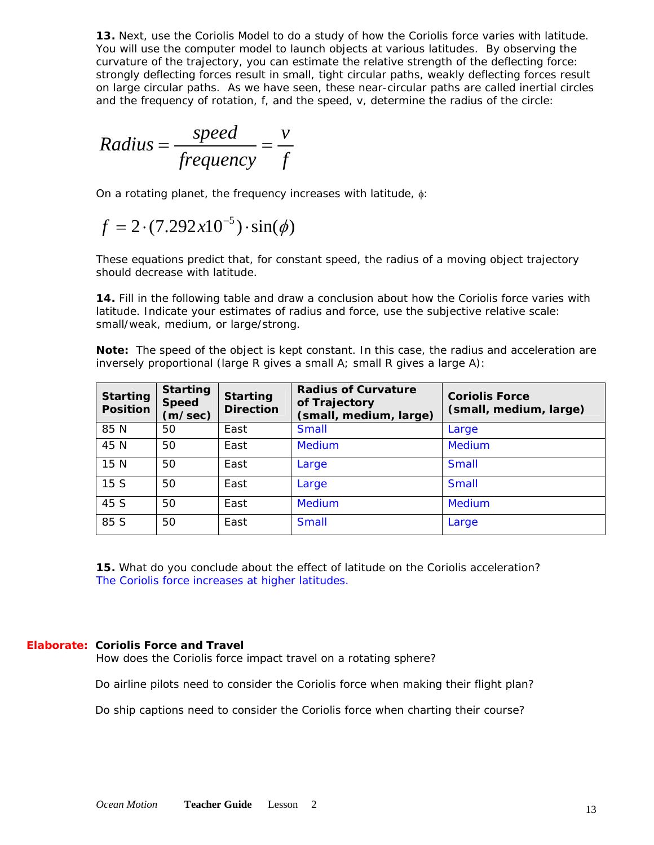**13.** Next, use the [Coriolis Model](http://www.oceanmotion.org/html/resources/coriolis.htm) to do a study of how the Coriolis force varies with latitude. You will use the computer model to launch objects at various latitudes. By observing the curvature of the trajectory, you can estimate the relative strength of the deflecting force: strongly deflecting forces result in small, tight circular paths, weakly deflecting forces result on large circular paths. As we have seen, these near-circular paths are called inertial circles and the frequency of rotation, f, and the speed, v, determine the radius of the circle:

Radius = 
$$
\frac{speed}{frequency} = \frac{v}{f}
$$

On a rotating planet, the frequency increases with latitude, φ:

$$
f = 2 \cdot (7.292x10^{-5}) \cdot \sin(\phi)
$$

These equations predict that, for constant speed, the radius of a moving object trajectory should decrease with latitude.

**14.** Fill in the following table and draw a conclusion about how the Coriolis force varies with latitude. Indicate your estimates of radius and force, use the subjective relative scale: small/weak, medium, or large/strong.

**Note:** The speed of the object is kept constant. In this case, the radius and acceleration are inversely proportional (large R gives a small A; small R gives a large A):

| <b>Starting</b><br><b>Position</b> | <b>Starting</b><br><b>Speed</b><br>(m/sec) | <b>Starting</b><br><b>Direction</b> | <b>Radius of Curvature</b><br>of Trajectory<br>(small, medium, large) | <b>Coriolis Force</b><br>(small, medium, large) |
|------------------------------------|--------------------------------------------|-------------------------------------|-----------------------------------------------------------------------|-------------------------------------------------|
| 85 N                               | 50                                         | East                                | <b>Small</b>                                                          | Large                                           |
| 45 N                               | 50                                         | East                                | <b>Medium</b>                                                         | <b>Medium</b>                                   |
| 15 N                               | 50                                         | East                                | Large                                                                 | <b>Small</b>                                    |
| 15S                                | 50                                         | East                                | Large                                                                 | <b>Small</b>                                    |
| 45 S                               | 50                                         | East                                | <b>Medium</b>                                                         | <b>Medium</b>                                   |
| 85 S                               | 50                                         | East                                | <b>Small</b>                                                          | Large                                           |

**15.** What do you conclude about the effect of latitude on the Coriolis acceleration? *The Coriolis force increases at higher latitudes.* 

#### **Elaborate: Coriolis Force and Travel**

*How does the Coriolis force impact travel on a rotating sphere?* 

Do airline pilots need to consider the Coriolis force when making their flight plan?

Do ship captions need to consider the Coriolis force when charting their course?